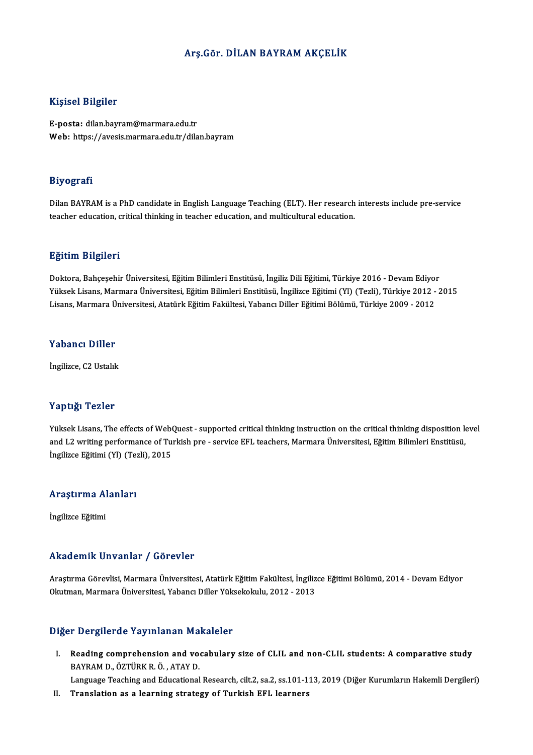### Arş.Gör. DİLAN BAYRAMAKÇELİK

### Kişisel Bilgiler

E-posta: dilan.bayram@marmara.edu.tr Web: https://avesis.marmara.edu.tr/dilan.bayram

### Biyografi

Biyografi<br>Dilan BAYRAM is a PhD candidate in English Language Teaching (ELT). Her research interests include pre-service<br>teacher education, eritical thinking in teacher education, and multicultural education. ozy ogaar.<br>Dilan BAYRAM is a PhD candidate in English Language Teaching (ELT). Her research<br>teacher education, critical thinking in teacher education, and multicultural education. teacher education, critical thinking in teacher education, and multicultural education.<br>Eğitim Bilgileri

<mark>Eğitim Bilgileri</mark><br>Doktora, Bahçeşehir Üniversitesi, Eğitim Bilimleri Enstitüsü, İngiliz Dili Eğitimi, Türkiye 2016 - Devam Ediyor<br>Yükaek Lisane Marmara Üniversitesi, Eğitim Bilimleri Enstitüsü, İngilizce Eğitimi (VI) (Teg 25.<br>1998-1998 Doktora, Bahçeşehir Üniversitesi, Eğitim Bilimleri Enstitüsü, İngiliz Dili Eğitimi, Türkiye 2016 - Devam Ediyor<br>Yüksek Lisans, Marmara Üniversitesi, Eğitim Bilimleri Enstitüsü, İngilizce Eğitimi (Yl) (Tezli), Doktora, Bahçeşehir Üniversitesi, Eğitim Bilimleri Enstitüsü, İngiliz Dili Eğitimi, Türkiye 2016 - Devam Ediyo<br>Yüksek Lisans, Marmara Üniversitesi, Eğitim Bilimleri Enstitüsü, İngilizce Eğitimi (Yl) (Tezli), Türkiye 2012 -Lisans, Marmara Üniversitesi, Atatürk Eğitim Fakültesi, Yabancı Diller Eğitimi Bölümü, Türkiye 2009 - 2012<br>Yabancı Diller

İngilizce, C2 Ustalık

### Yaptığı Tezler

Yaptığı Tezler<br>Yüksek Lisans, The effects of WebQuest - supported critical thinking instruction on the critical thinking disposition level<br>and L2 uniting performance of Turkich presservice EEL teachers. Marmara Üniversites aup erge alsoistes.<br>Yüksek Lisans, The effects of WebQuest - supported critical thinking instruction on the critical thinking disposition le<br>and L2 writing performance of Turkish pre - service EFL teachers, Marmara Ünivers Yüksek Lisans, The effects of Web<br>and L2 writing performance of Tu:<br>İngilizce Eğitimi (Yl) (Tezli), 2015

## ingilizce eglumi (11) (1e.<br>Araştırma Alanları A<mark>raştırma A</mark>l<br>İngilizce Eğitimi

# Akademik Unvanlar / Görevler

Akademik Unvanlar / Görevler<br>Araştırma Görevlisi, Marmara Üniversitesi, Atatürk Eğitim Fakültesi, İngilizce Eğitimi Bölümü, 2014 - Devam Ediyor<br>Olatman, Marmara Üniversitesi, Yabangı Diller Yüksekelpılır, 2012, 2012 Okutman,MarmaraÜniversitesi,YabancıDiler Yüksekokulu,2012 -2013 Okutman, Marmara Üniversitesi, Yabancı Diller Yüksekokulu, 2012 - 2013<br>Diğer Dergilerde Yayınlanan Makaleler

Iger Dergilerde Yayınlanan Makaleler<br>I. Reading comprehension and vocabulary size of CLIL and non-CLIL students: A comparative study<br>RAYRAM D. ÖZTÜRK B. Ö. ATAY D. Peading comprehension and volume<br>BAYRAM D., ÖZTÜRK R. Ö., ATAY D.<br>Language Teaching and Educational BAYRAM D., ÖZTÜRK R. Ö. , ATAY D.<br>Language Teaching and Educational Research, cilt.2, sa.2, ss.101-113, 2019 (Diğer Kurumların Hakemli Dergileri)

II. Translation as a learning strategy of Turkish EFL learners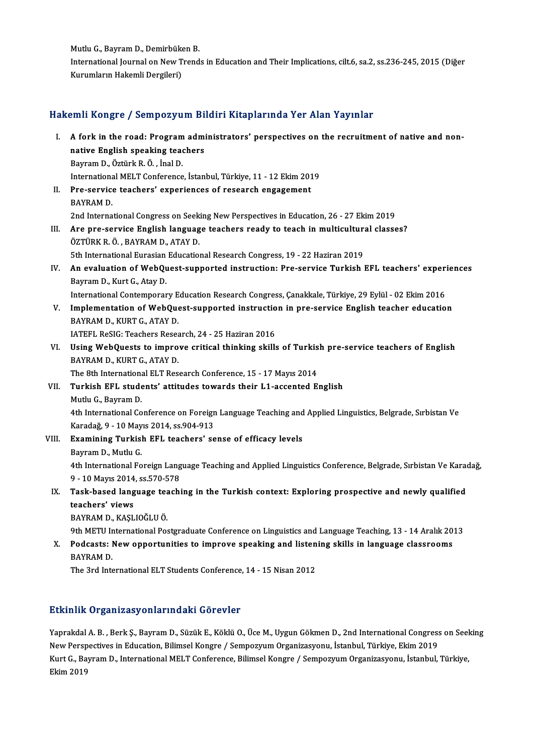Mutlu G., Bayram D., Demirbüken B.<br>International Journal on New Trand

International Journal on New Trends in Education and Their Implications, cilt.6, sa.2, ss.236-245, 2015 (Diğer<br>Kurumların Hakemli Dergileri) Mutlu G., Bayram D., Demirbüke<br>International Journal on New T<br>Kurumların Hakemli Dergileri)

## Hakemli Kongre / Sempozyum Bildiri Kitaplarında Yer Alan Yayınlar

akemli Kongre / Sempozyum Bildiri Kitaplarında Yer Alan Yayınlar<br>I. A fork in the road: Program administrators' perspectives on the recruitment of native and non-<br>native English speaking teachers A fork in the road: Program administrative English speaking teachers<br>Boyman D, Östürk B, Ö, İngil D A fork in the road: Program<br>native English speaking tead<br>Bayram D., Öztürk R. Ö. , İnal D.<br>International MELT Conference native English speaking teachers<br>Bayram D., Öztürk R. Ö. , İnal D.<br>International MELT Conference, İstanbul, Türkiye, 11 - 12 Ekim 2019 Bayram D., Öztürk R. Ö. , İnal D.<br>International MELT Conference, İstanbul, Türkiye, 11 - 12 Ekim 201<br>II. Pre-service teachers' experiences of research engagement<br>PAYPAM D. Internationa<br>Pre-service<br>BAYRAM D.<br>2nd Interna BAYRAM D.<br>2nd International Congress on Seeking New Perspectives in Education, 26 - 27 Ekim 2019 BAYRAM D.<br>2nd International Congress on Seeking New Perspectives in Education, 26 - 27 Ekim 2019<br>III. Are pre-service English language teachers ready to teach in multicultural classes?<br>ÖZTÜPK P. Ö. BAYRAM D. ATAV D. 2nd International Congress on Seek<br>Are pre-service English languag<br>ÖZTÜRK R.Ö., BAYRAM D., ATAY D. Are pre-service English language teachers ready to teach in multiculture<br>ÖZTÜRK R. Ö. , BAYRAM D., ATAY D.<br>5th International Eurasian Educational Research Congress, 19 - 22 Haziran 2019<br>An evaluation of WabOuest sunnented ÖZTÜRK R. Ö. , BAYRAM D., ATAY D.<br>5th International Eurasian Educational Research Congress, 19 - 22 Haziran 2019<br>IV. An evaluation of WebQuest-supported instruction: Pre-service Turkish EFL teachers' experiences<br>Boymam 5th International Eurasian<br>An evaluation of WebQu<br>Bayram D., Kurt G., Atay D.<br>International Contemnerar An evaluation of WebQuest-supported instruction: Pre-service Turkish EFL teachers' experi<br>Bayram D., Kurt G., Atay D.<br>International Contemporary Education Research Congress, Çanakkale, Türkiye, 29 Eylül - 02 Ekim 2016<br>Impl Bayram D., Kurt G., Atay D.<br>International Contemporary Education Research Congress, Çanakkale, Türkiye, 29 Eylül - 02 Ekim 2016<br>V. Implementation of WebQuest-supported instruction in pre-service English teacher education<br>P International Contemporary E<br>Implementation of WebQue<br>BAYRAM D., KURT G., ATAY D.<br>JATEEL BASIC: Toasbors Bosse Implementation of WebQuest-supported instructio<br>BAYRAM D., KURT G., ATAY D.<br>IATEFL ReSIG: Teachers Research, 24 - 25 Haziran 2016<br>Heing WebQuests to improve enitical thinking skills BAYRAM D., KURT G., ATAY D.<br>IATEFL ReSIG: Teachers Research, 24 - 25 Haziran 2016<br>VI. Using WebQuests to improve critical thinking skills of Turkish pre-service teachers of English<br>RAYRAM D. KURT C. ATAY D. **IATEFL ReSIG: Teachers Resea<br>Using WebQuests to impro<br>BAYRAM D., KURT G., ATAY D.**<br>The 9th International ELT Bes Using WebQuests to improve critical thinking skills of Turkis<br>BAYRAM D., KURT G., ATAY D.<br>The 8th International ELT Research Conference, 15 - 17 Mayıs 2014<br>Turkish EEL students' attitudes towards their L1 assented E BAYRAM D., KURT G., ATAY D.<br>The 8th International ELT Research Conference, 15 - 17 Mayıs 2014<br>VII. Turkish EFL students' attitudes towards their L1-accented English<br>Mutlu G., Bayram D. The 8th International ELT Research Conference, 15 - 17 Mayıs 2014 4th International Conference on Foreign Language Teaching and Applied Linguistics, Belgrade, Sırbistan Ve Mutlu G., Bayram D.<br>4th International Conference on Foreign<br>Karadağ, 9 - 10 Mayıs 2014, ss.904-913<br>Evamining Turkish EEL teashers' ss VIII. Examining Turkish EFL teachers' sense of efficacy levels<br>Bayram D., Mutlu G. Karadağ, 9 - 10 May<br>**Examining Turkis**l<br>Bayram D., Mutlu G.<br><sup>4th Intornational Fo</sup> Examining Turkish EFL teachers' sense of efficacy levels<br>Bayram D., Mutlu G.<br>4th International Foreign Language Teaching and Applied Linguistics Conference, Belgrade, Sırbistan Ve Karadağ,<br>9 . 10 Mayra 2014, se 570,579. Bayram D., Mutlu G.<br>4th International Foreign Lang<br>9 - 10 Mayıs 2014, ss.570-578<br>Tesk based Janguege tesebi IX. International Foreign Language Teaching and Applied Linguistics Conference, Belgrade, Sırbistan Ve Karad<br>9 - 10 Mayıs 2014, ss.570-578<br>IX. Task-based language teaching in the Turkish context: Exploring prospective and 9 - 10 Mayıs 2014<br>Task-based lang<br>teachers' views<br>PAVPAM D. KASI Task-based language te<mark>z</mark><br>teachers' views<br>BAYRAM D., KAŞLIOĞLU Ö.<br><sup>0th METU International Bea</sup> teachers' views<br>BAYRAM D., KAŞLIOĞLU Ö.<br>9th METU International Postgraduate Conference on Linguistics and Language Teaching, 13 - 14 Aralık 2013 BAYRAM D., KAŞLIOĞLU Ö.<br>9th METU International Postgraduate Conference on Linguistics and Language Teaching, 13 - 14 Aralık 20<br>8 NAVPAM D. 9th METU I<mark>r</mark><br>Podcasts: 1<br>BAYRAM D.<br>The 2rd Inte Podcasts: New opportunities to improve speaking and listen<br>BAYRAM D.<br>The 3rd International ELT Students Conference, 14 - 15 Nisan 2012

# The 3rd International ELT Students Conference, 14 - 15 Nisan 2012<br>Etkinlik Organizasyonlarındaki Görevler

Etkinlik Organizasyonlarındaki Görevler<br>Yaprakdal A. B. , Berk Ş., Bayram D., Süzük E., Köklü O., Üce M., Uygun Gökmen D., 2nd International Congress on Seeking<br>Nav Rarapestives in Education, Bilimsel Kongre / Semnegyum Or NewPerspectives in Education, Süzük E., Köklü O., Üce M., Uygun Gökmen D., 2nd International Congress<br>New Perspectives in Education, Bilimsel Kongre / Sempozyum Organizasyonu, İstanbul, Türkiye, Ekim 2019<br>Kurt G., Bayram D Yaprakdal A. B. , Berk Ş., Bayram D., Süzük E., Köklü O., Üce M., Uygun Gökmen D., 2nd International Congress on Seel<br>New Perspectives in Education, Bilimsel Kongre / Sempozyum Organizasyonu, İstanbul, Türkiye, Ekim 2019<br>K New Perspectives in Education, Bilimsel Kongre / Sempozyum Organizasyonu, İstanbul, Türkiye, Ekim 2019<br>Kurt G., Bayram D., International MELT Conference, Bilimsel Kongre / Sempozyum Organizasyonu, İstanbul, Türkiye,<br>Ekim 2